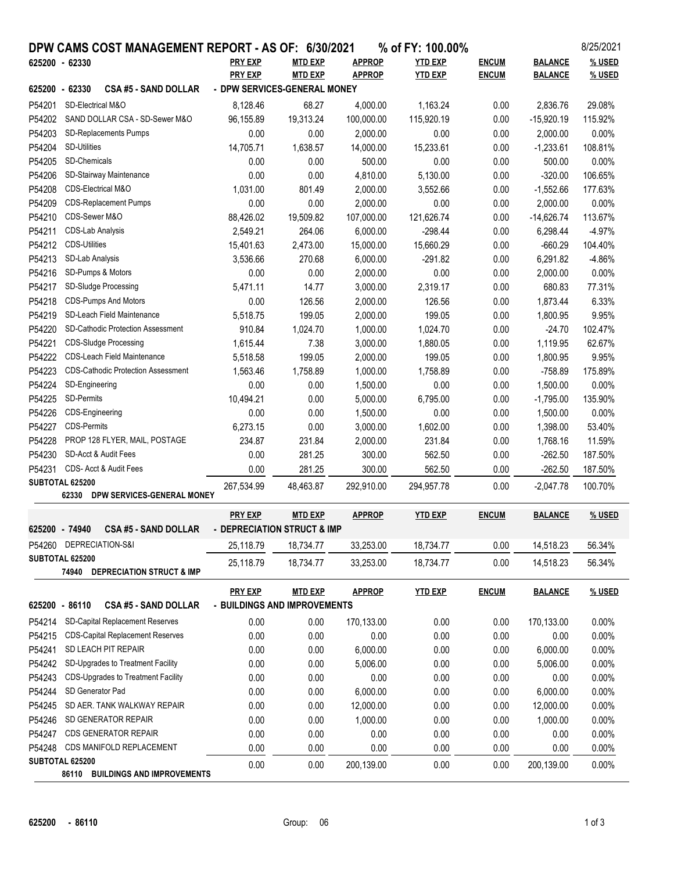|                                                               |                                                        | DPW CAMS COST MANAGEMENT REPORT - AS OF: 6/30/2021 |                              |                |               | % of FY: 100.00% |              |                | 8/25/2021 |
|---------------------------------------------------------------|--------------------------------------------------------|----------------------------------------------------|------------------------------|----------------|---------------|------------------|--------------|----------------|-----------|
| 625200 - 62330                                                |                                                        |                                                    | <b>PRY EXP</b>               | <b>MTD EXP</b> | <b>APPROP</b> | <b>YTD EXP</b>   | <b>ENCUM</b> | <b>BALANCE</b> | % USED    |
|                                                               |                                                        |                                                    | <b>PRY EXP</b>               | <b>MTD EXP</b> | <b>APPROP</b> | <b>YTD EXP</b>   | <b>ENCUM</b> | <b>BALANCE</b> | % USED    |
| 625200 - 62330                                                |                                                        | <b>CSA #5 - SAND DOLLAR</b>                        | - DPW SERVICES-GENERAL MONEY |                |               |                  |              |                |           |
| P54201                                                        | SD-Electrical M&O                                      |                                                    | 8,128.46                     | 68.27          | 4,000.00      | 1,163.24         | 0.00         | 2,836.76       | 29.08%    |
| P54202                                                        | SAND DOLLAR CSA - SD-Sewer M&O                         |                                                    | 96,155.89                    | 19,313.24      | 100,000.00    | 115,920.19       | 0.00         | $-15,920.19$   | 115.92%   |
| P54203                                                        | <b>SD-Replacements Pumps</b>                           |                                                    | 0.00                         | 0.00           | 2,000.00      | 0.00             | 0.00         | 2,000.00       | 0.00%     |
| P54204                                                        | <b>SD-Utilities</b>                                    |                                                    | 14,705.71                    | 1,638.57       | 14,000.00     | 15,233.61        | 0.00         | $-1,233.61$    | 108.81%   |
| P54205                                                        | SD-Chemicals                                           |                                                    | 0.00                         | 0.00           | 500.00        | 0.00             | 0.00         | 500.00         | 0.00%     |
| P54206                                                        |                                                        | SD-Stairway Maintenance                            | 0.00                         | 0.00           | 4,810.00      | 5,130.00         | 0.00         | $-320.00$      | 106.65%   |
| P54208                                                        | CDS-Electrical M&O                                     |                                                    | 1,031.00                     | 801.49         | 2,000.00      | 3,552.66         | 0.00         | $-1,552.66$    | 177.63%   |
| P54209                                                        |                                                        | <b>CDS-Replacement Pumps</b>                       | 0.00                         | 0.00           | 2,000.00      | 0.00             | 0.00         | 2,000.00       | 0.00%     |
| P54210                                                        | CDS-Sewer M&O                                          |                                                    | 88,426.02                    | 19,509.82      | 107,000.00    | 121,626.74       | 0.00         | $-14,626.74$   | 113.67%   |
| P54211                                                        | <b>CDS-Lab Analysis</b>                                |                                                    | 2,549.21                     | 264.06         | 6,000.00      | $-298.44$        | 0.00         | 6,298.44       | $-4.97%$  |
| P54212                                                        | <b>CDS-Utilities</b>                                   |                                                    | 15,401.63                    | 2,473.00       | 15,000.00     | 15,660.29        | 0.00         | $-660.29$      | 104.40%   |
| P54213                                                        | SD-Lab Analysis                                        |                                                    | 3,536.66                     | 270.68         | 6,000.00      | $-291.82$        | 0.00         | 6,291.82       | $-4.86%$  |
| P54216                                                        | SD-Pumps & Motors                                      |                                                    | 0.00                         | 0.00           | 2,000.00      | 0.00             | 0.00         | 2,000.00       | 0.00%     |
| P54217                                                        | SD-Sludge Processing                                   |                                                    | 5,471.11                     | 14.77          | 3,000.00      | 2,319.17         | 0.00         | 680.83         | 77.31%    |
| P54218                                                        |                                                        | <b>CDS-Pumps And Motors</b>                        | 0.00                         | 126.56         | 2,000.00      | 126.56           | 0.00         | 1,873.44       | 6.33%     |
| P54219                                                        | SD-Leach Field Maintenance                             |                                                    | 5,518.75                     | 199.05         | 2,000.00      | 199.05           | 0.00         | 1,800.95       | 9.95%     |
| P54220                                                        |                                                        | <b>SD-Cathodic Protection Assessment</b>           | 910.84                       | 1,024.70       | 1,000.00      | 1,024.70         | 0.00         | $-24.70$       | 102.47%   |
| P54221                                                        |                                                        | <b>CDS-Sludge Processing</b>                       | 1,615.44                     | 7.38           | 3,000.00      | 1,880.05         | 0.00         | 1,119.95       | 62.67%    |
| P54222                                                        | <b>CDS-Leach Field Maintenance</b>                     |                                                    | 5,518.58                     | 199.05         | 2,000.00      | 199.05           | 0.00         | 1,800.95       | 9.95%     |
| P54223                                                        |                                                        | <b>CDS-Cathodic Protection Assessment</b>          | 1,563.46                     | 1,758.89       | 1,000.00      | 1,758.89         | 0.00         | $-758.89$      | 175.89%   |
| P54224                                                        | SD-Engineering                                         |                                                    | 0.00                         | 0.00           | 1,500.00      | 0.00             | 0.00         | 1,500.00       | 0.00%     |
| P54225                                                        | SD-Permits                                             |                                                    | 10,494.21                    | 0.00           | 5,000.00      | 6,795.00         | 0.00         | $-1,795.00$    | 135.90%   |
| P54226                                                        | CDS-Engineering                                        |                                                    | 0.00                         | 0.00           | 1,500.00      | 0.00             | 0.00         | 1,500.00       | 0.00%     |
| P54227                                                        | <b>CDS-Permits</b>                                     |                                                    | 6,273.15                     | 0.00           | 3,000.00      | 1,602.00         | 0.00         | 1,398.00       | 53.40%    |
| P54228                                                        |                                                        | PROP 128 FLYER, MAIL, POSTAGE                      | 234.87                       | 231.84         | 2,000.00      | 231.84           | 0.00         | 1,768.16       | 11.59%    |
| P54230                                                        | SD-Acct & Audit Fees                                   |                                                    | 0.00                         | 281.25         | 300.00        | 562.50           | 0.00         | $-262.50$      | 187.50%   |
| P54231                                                        | CDS- Acct & Audit Fees                                 |                                                    | 0.00                         | 281.25         | 300.00        | 562.50           | 0.00         | $-262.50$      | 187.50%   |
| SUBTOTAL 625200                                               |                                                        | 267,534.99                                         | 48,463.87                    | 292,910.00     | 294,957.78    | 0.00             | $-2,047.78$  | 100.70%        |           |
|                                                               | 62330                                                  | DPW SERVICES-GENERAL MONEY                         |                              |                |               |                  |              |                |           |
|                                                               |                                                        |                                                    | <b>PRY EXP</b>               | <b>MTD EXP</b> | <b>APPROP</b> | <b>YTD EXP</b>   | <b>ENCUM</b> | <b>BALANCE</b> | % USED    |
| 625200 - 74940                                                |                                                        | CSA #5 - SAND DOLLAR                               | - DEPRECIATION STRUCT & IMP  |                |               |                  |              |                |           |
|                                                               | P54260 DEPRECIATION-S&I                                |                                                    | 25,118.79                    | 18,734.77      | 33,253.00     | 18,734.77        | 0.00         | 14,518.23      | 56.34%    |
| SUBTOTAL 625200                                               |                                                        |                                                    |                              |                |               |                  |              |                |           |
|                                                               |                                                        | 74940 DEPRECIATION STRUCT & IMP                    | 25,118.79                    | 18,734.77      | 33,253.00     | 18,734.77        | 0.00         | 14,518.23      | 56.34%    |
|                                                               |                                                        |                                                    | <b>PRY EXP</b>               | <b>MTD EXP</b> | <b>APPROP</b> | <b>YTD EXP</b>   | <b>ENCUM</b> | <b>BALANCE</b> | % USED    |
| 625200 - 86110                                                |                                                        | <b>CSA #5 - SAND DOLLAR</b>                        | - BUILDINGS AND IMPROVEMENTS |                |               |                  |              |                |           |
| P54214                                                        |                                                        | SD-Capital Replacement Reserves                    | 0.00                         | 0.00           | 170,133.00    | 0.00             |              | 170,133.00     | 0.00%     |
|                                                               |                                                        | <b>CDS-Capital Replacement Reserves</b>            |                              |                |               |                  | 0.00         |                |           |
| P54215                                                        |                                                        | SD LEACH PIT REPAIR                                | 0.00                         | 0.00           | 0.00          | 0.00             | 0.00         | 0.00           | 0.00%     |
| P54241                                                        |                                                        |                                                    | 0.00                         | 0.00           | 6,000.00      | 0.00             | 0.00         | 6,000.00       | 0.00%     |
| P54242                                                        | SD-Upgrades to Treatment Facility                      |                                                    | 0.00                         | 0.00           | 5,006.00      | 0.00             | 0.00         | 5,006.00       | 0.00%     |
| P54243                                                        | CDS-Upgrades to Treatment Facility<br>SD Generator Pad |                                                    | 0.00                         | 0.00           | 0.00          | 0.00             | 0.00         | 0.00           | 0.00%     |
| P54244                                                        | SD AER. TANK WALKWAY REPAIR                            |                                                    | 0.00                         | 0.00           | 6,000.00      | 0.00             | 0.00         | 6,000.00       | 0.00%     |
| P54245                                                        | SD GENERATOR REPAIR                                    |                                                    | 0.00                         | 0.00           | 12,000.00     | 0.00             | 0.00         | 12,000.00      | 0.00%     |
| P54246                                                        |                                                        |                                                    | 0.00                         | 0.00           | 1,000.00      | 0.00             | 0.00         | 1,000.00       | 0.00%     |
| P54247                                                        |                                                        | <b>CDS GENERATOR REPAIR</b>                        | 0.00                         | 0.00           | 0.00          | 0.00             | 0.00         | 0.00           | 0.00%     |
| P54248                                                        | CDS MANIFOLD REPLACEMENT                               |                                                    | 0.00                         | 0.00           | 0.00          | 0.00             | 0.00         | 0.00           | 0.00%     |
| SUBTOTAL 625200<br><b>BUILDINGS AND IMPROVEMENTS</b><br>86110 |                                                        |                                                    | 0.00                         | 0.00           | 200,139.00    | 0.00             | 0.00         | 200,139.00     | 0.00%     |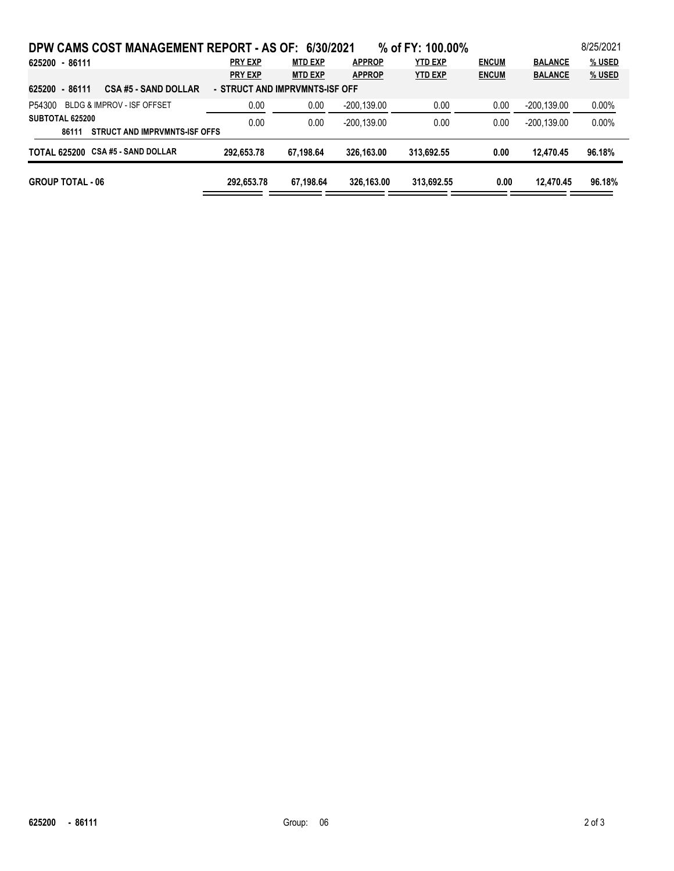| DPW CAMS COST MANAGEMENT REPORT - AS OF: 6/30/2021                       |                |                |               | % of FY: 100.00% |              |                | 8/25/2021 |  |  |
|--------------------------------------------------------------------------|----------------|----------------|---------------|------------------|--------------|----------------|-----------|--|--|
| 625200 - 86111                                                           | <b>PRY EXP</b> | <b>MTD EXP</b> | <b>APPROP</b> | <b>YTD EXP</b>   | <b>ENCUM</b> | <b>BALANCE</b> | % USED    |  |  |
|                                                                          | <b>PRY EXP</b> | <b>MTD EXP</b> | <b>APPROP</b> | <b>YTD EXP</b>   | <b>ENCUM</b> | <b>BALANCE</b> | % USED    |  |  |
| CSA #5 - SAND DOLLAR<br>- STRUCT AND IMPRVMNTS-ISF OFF<br>625200 - 86111 |                |                |               |                  |              |                |           |  |  |
| BLDG & IMPROV - ISF OFFSET<br>P54300                                     | 0.00           | 0.00           | $-200,139.00$ | 0.00             | 0.00         | $-200, 139.00$ | $0.00\%$  |  |  |
| SUBTOTAL 625200                                                          | 0.00           | 0.00           | $-200.139.00$ | 0.00             | 0.00         | $-200.139.00$  | 0.00%     |  |  |
| STRUCT AND IMPRVMNTS-ISF OFFS<br>86111                                   |                |                |               |                  |              |                |           |  |  |
| TOTAL 625200 CSA #5 - SAND DOLLAR                                        | 292,653.78     | 67.198.64      | 326.163.00    | 313,692.55       | 0.00         | 12.470.45      | 96.18%    |  |  |
| <b>GROUP TOTAL - 06</b>                                                  | 292.653.78     | 67.198.64      | 326.163.00    | 313,692.55       | 0.00         | 12.470.45      | 96.18%    |  |  |